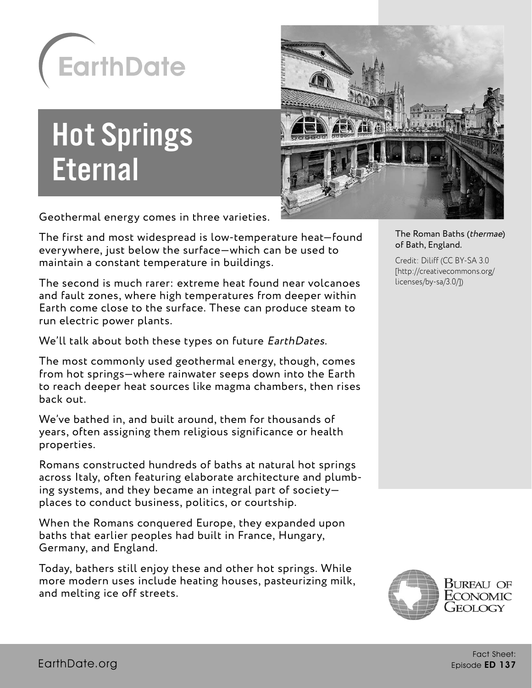

# Hot Springs **Eternal**



Geothermal energy comes in three varieties.

The first and most widespread is low-temperature heat—found everywhere, just below the surface—which can be used to maintain a constant temperature in buildings.

The second is much rarer: extreme heat found near volcanoes and fault zones, where high temperatures from deeper within Earth come close to the surface. These can produce steam to run electric power plants.

We'll talk about both these types on future EarthDates.

The most commonly used geothermal energy, though, comes from hot springs—where rainwater seeps down into the Earth to reach deeper heat sources like magma chambers, then rises back out.

We've bathed in, and built around, them for thousands of years, often assigning them religious significance or health properties.

Romans constructed hundreds of baths at natural hot springs across Italy, often featuring elaborate architecture and plumbing systems, and they became an integral part of society places to conduct business, politics, or courtship.

When the Romans conquered Europe, they expanded upon baths that earlier peoples had built in France, Hungary, Germany, and England.

Today, bathers still enjoy these and other hot springs. While more modern uses include heating houses, pasteurizing milk, and melting ice off streets.

The Roman Baths (thermae) of Bath, England.

Credit: Diliff (CC BY-SA 3.0 [http://creativecommons.org/ licenses/by-sa/3.0/])

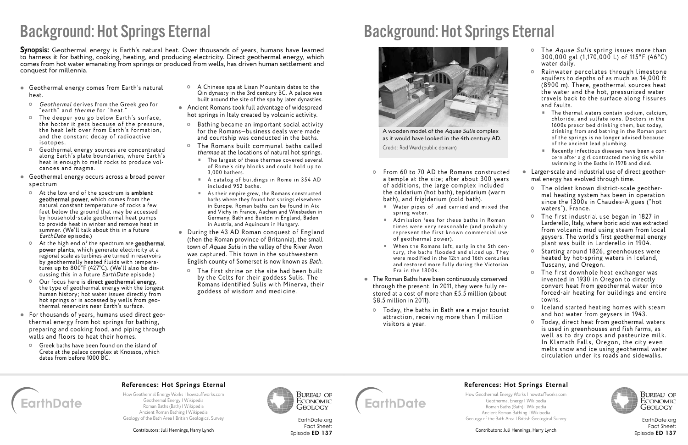#### **References: Hot Springs Eternal**

[How Geothermal Energy Works | howstuffworks.com](http://science.howstuffworks.com/environmental/energy/geothermal-energy1.htm) [Geothermal Energy | Wikipedia](https://en.wikipedia.org/wiki/Geothermal_energy) [Roman Baths \(Bath\) | Wikipedia](https://en.wikipedia.org/wiki/Roman_Baths_(Bath)) [Ancient Roman Bathing | Wikipedia](https://en.wikipedia.org/wiki/Ancient_Roman_bathing) [Geology of the Bath Area | British Geological Survey](http://earthwise.bgs.ac.uk/index.php/Geology_of_the_Bath_area:_Applied_geology:_hydrogeology)

Contributors: Juli Hennings, Harry Lynch



- From 60 to 70 AD the Romans constructed a temple at the site; after about 300 years of additions, the large complex included the caldarium (hot bath), tepidarium (warm bath), and frigidarium (cold bath).
	- $\blacksquare$  Water pipes of lead carried and mixed the spring water.
	- Admission fees for these baths in Roman times were very reasonable (and probably represent the first known commercial use of geothermal power).
	- When the Romans left, early in the 5th century, the baths flooded and silted up. They were modified in the 12th and 16th centuries and restored more fully during the Victorian Era in the 1800s.
- The Roman Baths have been continuously conserved through the present. In 2011, they were fully restored at a cost of more than £5.5 million (about \$8.5 million in 2011).
	- Today, the baths in Bath are a major tourist attraction, receiving more than 1 million visitors a year.
- o The Aquae Sulis spring issues more than 30 0,0 0 0 gal ( 1,170,0 0 0 L) of 115° F (4 6°C ) water daily.
- $\circ$  Rainwater percolates through limestone aquifers to depths of as much as 14,000 ft (8900 m). There, geothermal sources heat the water and the hot, pressurized water travels back to the surface along fissures and faults.
	- The thermal waters contain sodium, calcium, chloride, and sulfate ions. Doctors in the 1600s prescribed drinking them, but today, drinking from and bathing in the Roman part of the springs is no longer advised because of the ancient lead plumbing.
	- Recently infectious diseases have been a concern after a girl contracted meningitis while swimming in the Baths in 1978 and died.
- Larger-scale and industrial use of direct geothermal energy has evolved through time.
	- The oldest known district-scale geothermal heating system has been in operation since the 1300s in Chaudes-Aigues ("hot waters"), France.
	- The first industrial use began in 1827 in Larderello, Italy, where boric acid was extracted from volcanic mud using steam from local geysers. The world's first geothermal energy plant was built in Larderello in 1904.
	- Starting around 1826, greenhouses were heated by hot-spring waters in Iceland, Tuscany, and Oregon.
	- The first downhole heat exchanger was invented in 1930 in Oregon to directly convert heat from geothermal water into forced-air heating for buildings and entire towns.
	- o Iceland started heating homes with steam and hot water from geysers in 1943.
	- Today, direct heat from geothermal waters is used in greenhouses and fish farms, as well as to dry crops and pasteurize milk. In Klamath Falls, Oregon, the city even melts snow and ice using geothermal water circulation under its roads and sidewalks.

**Synopsis:** Geothermal energy is Earth's natural heat. Over thousands of years, humans have learned to harness it for bathing, cooking, heating, and producing electricity. Direct geothermal energy, which comes from hot water emanating from springs or produced from wells, has driven human settlement and conquest for millennia.

- Geothermal energy comes from Earth's natural heat.
	- Geothermal derives from the Greek geo for "earth" and therme for "heat."
	- $\circ$  The deeper you go below Earth's surface, the hotter it gets because of the pressure, the heat left over from Earth's formation, and the constant decay of radioactive isotopes.
	- <sup>o</sup> Geothermal energy sources are concentrated along Earth's plate boundaries, where Earth's heat is enough to melt rocks to produce volcanoes and magma.
- Geothermal energy occurs across a broad power spectrum
	- At the low end of the spectrum is ambient geothermal power, which comes from the natural constant temperature of rocks a few feet below the ground that may be accessed by household-scale geothermal heat pumps to provide heat in winter and remove heat in summer. (We'll talk about this in a future EarthDate episode.)
	- o At the high end of the spectrum are geothermal power plants, which generate electricity at a regional scale as turbines are turned in reservoirs by geothermally heated fluids with temperatures up to 800°F (427°C). (We'll also be discussing this in a future EarthDate episode.)
	- Our focus here is direct geothermal energy, the type of geothermal energy with the longest human history; hot water issues directly from hot springs or is accessed by wells from geothermal reservoirs near Earth's surface.
- For thousands of years, humans used direct geothermal energy from hot springs for bathing, preparing and cooking food, and piping through walls and floors to heat their homes.
- Greek baths have been found on the island of Crete at the palace complex at Knossos, which dates from before 1000 BC.
- A Chinese spa at Lisan Mountain dates to the Qin dynasty in the 3rd century BC. A palace was built around the site of the spa by later dynasties.
- Ancient Romans took full advantage of widespread hot springs in Italy created by volcanic activity.
	- Bathing became an important social activity for the Romans—business deals were made and courtship was conducted in the baths.
	- The Romans built communal baths called thermae at the locations of natural hot springs.
		- The largest of these thermae covered several of Rome's city blocks and could hold up to 3,000 bathers.
		- $A$  catalog of buildings in Rome in 354 AD included 952 baths.
		- As their empire grew, the Romans constructed baths where they found hot springs elsewhere in Europe. Roman baths can be found in Aix and Vichy in France, Aachen and Wiesbaden in Germany, Bath and Buxton in England, Baden in Austria, and Aquincum in Hungary.
- During the 43 AD Roman conquest of England (then the Roman province of Britannia), the small town of Aquae Sulis in the valley of the River Avon was captured. This town in the southwestern English county of Somerset is now known as Bath.
	- The first shrine on the site had been built by the Celts for their goddess Sulis. The Romans identified Sulis with Miner va, their goddess of wisdom and medicine.

## Background: Hot Springs Eternal

[EarthDate.org](http://www.earthdate.org) Fact Sheet: Episode ED 137



# Background: Hot Springs Eternal



[EarthDate.org](http://www.earthdate.org) Fact Sheet: Episode ED 137

#### **References: Hot Springs Eternal**



Bureau of Economic GEOLOGY

[How Geothermal Energy Works | howstuffworks.com](http://science.howstuffworks.com/environmental/energy/geothermal-energy1.htm) [Geothermal Energy | Wikipedia](https://en.wikipedia.org/wiki/Geothermal_energy) [Roman Baths \(Bath\) | Wikipedia](https://en.wikipedia.org/wiki/Roman_Baths_(Bath)) [Ancient Roman Bathing | Wikipedia](https://en.wikipedia.org/wiki/Ancient_Roman_bathing) [Geology of the Bath Area | British Geological Survey](http://earthwise.bgs.ac.uk/index.php/Geology_of_the_Bath_area:_Applied_geology:_hydrogeology)

Contributors: Juli Hennings, Harry Lynch

A wooden model of the Aquae Sulis complex as it would have looked in the 4th century AD.

Credit: Rod Ward (public domain)